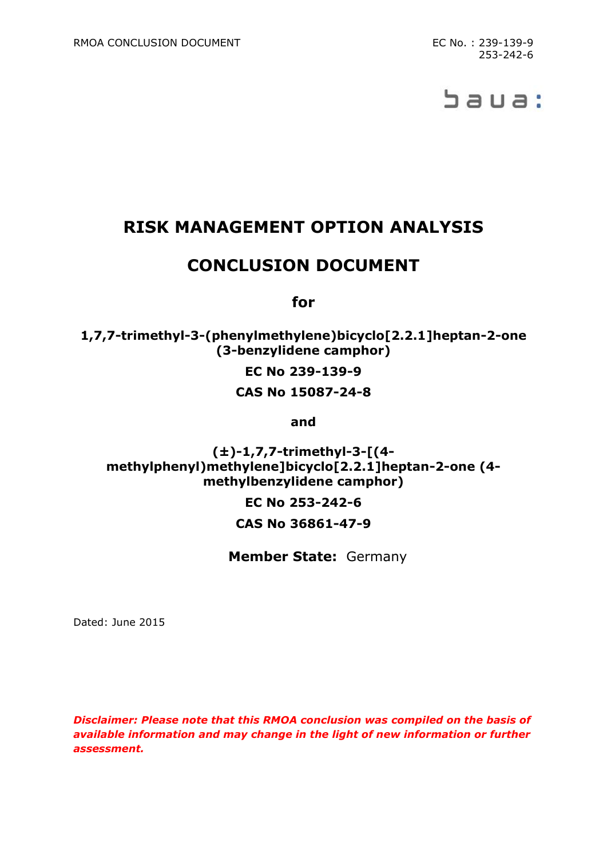# baua:

# **RISK MANAGEMENT OPTION ANALYSIS**

## **CONCLUSION DOCUMENT**

**for**

**1,7,7-trimethyl-3-(phenylmethylene)bicyclo[2.2.1]heptan-2-one (3-benzylidene camphor)**

**EC No 239-139-9**

**CAS No 15087-24-8**

**and**

**(±)-1,7,7-trimethyl-3-[(4 methylphenyl)methylene]bicyclo[2.2.1]heptan-2-one (4 methylbenzylidene camphor)**

> **EC No 253-242-6 CAS No 36861-47-9**

**Member State:** Germany

Dated: June 2015

*Disclaimer: Please note that this RMOA conclusion was compiled on the basis of available information and may change in the light of new information or further assessment.*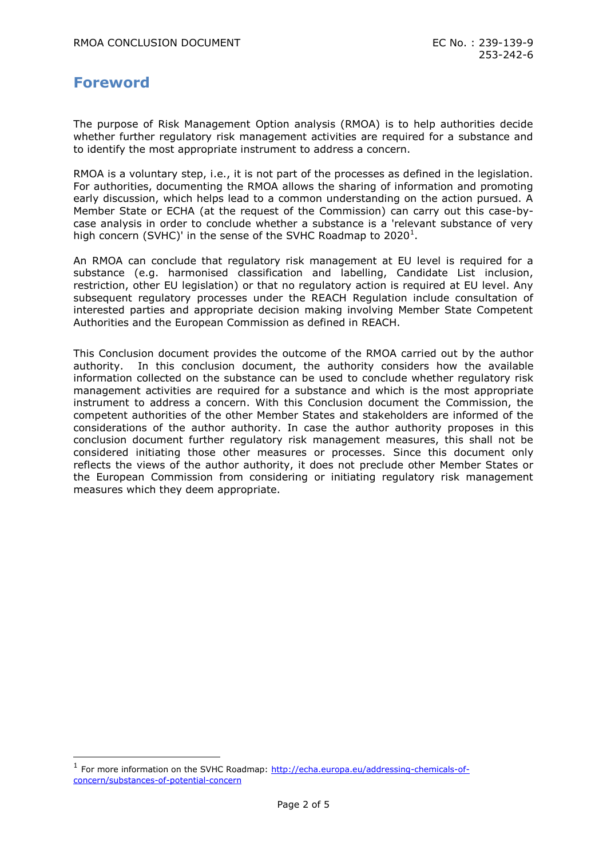#### **Foreword**

-

The purpose of Risk Management Option analysis (RMOA) is to help authorities decide whether further regulatory risk management activities are required for a substance and to identify the most appropriate instrument to address a concern.

RMOA is a voluntary step, i.e., it is not part of the processes as defined in the legislation. For authorities, documenting the RMOA allows the sharing of information and promoting early discussion, which helps lead to a common understanding on the action pursued. A Member State or ECHA (at the request of the Commission) can carry out this case-bycase analysis in order to conclude whether a substance is a 'relevant substance of very high concern (SVHC)' in the sense of the SVHC Roadmap to 2020<sup>1</sup>.

An RMOA can conclude that regulatory risk management at EU level is required for a substance (e.g. harmonised classification and labelling, Candidate List inclusion, restriction, other EU legislation) or that no regulatory action is required at EU level. Any subsequent regulatory processes under the REACH Regulation include consultation of interested parties and appropriate decision making involving Member State Competent Authorities and the European Commission as defined in REACH.

This Conclusion document provides the outcome of the RMOA carried out by the author authority. In this conclusion document, the authority considers how the available information collected on the substance can be used to conclude whether regulatory risk management activities are required for a substance and which is the most appropriate instrument to address a concern. With this Conclusion document the Commission, the competent authorities of the other Member States and stakeholders are informed of the considerations of the author authority. In case the author authority proposes in this conclusion document further regulatory risk management measures, this shall not be considered initiating those other measures or processes. Since this document only reflects the views of the author authority, it does not preclude other Member States or the European Commission from considering or initiating regulatory risk management measures which they deem appropriate.

<sup>&</sup>lt;sup>1</sup> For more information on the SVHC Roadmap: [http://echa.europa.eu/addressing-chemicals-of](http://echa.europa.eu/addressing-chemicals-of-concern/substances-of-potential-concern)[concern/substances-of-potential-concern](http://echa.europa.eu/addressing-chemicals-of-concern/substances-of-potential-concern)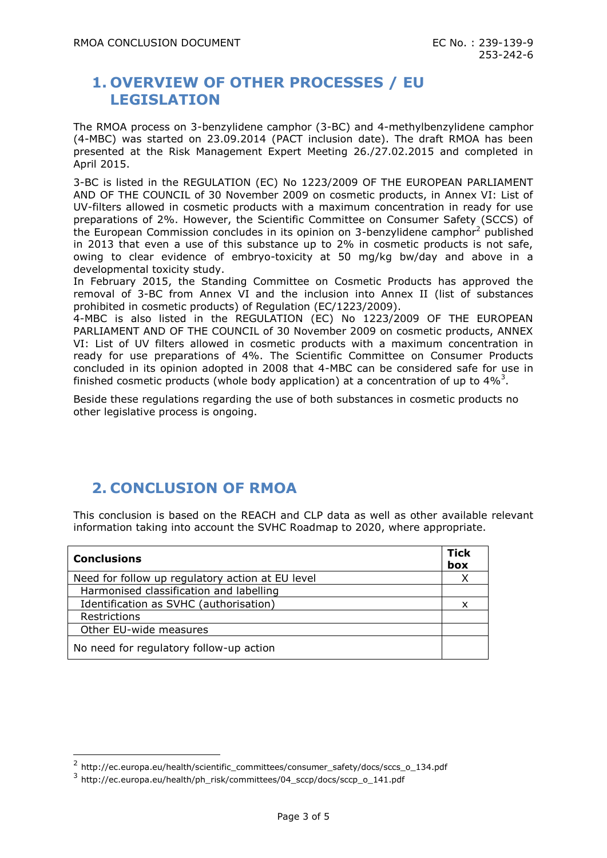#### **1. OVERVIEW OF OTHER PROCESSES / EU LEGISLATION**

The RMOA process on 3-benzylidene camphor (3-BC) and 4-methylbenzylidene camphor (4-MBC) was started on 23.09.2014 (PACT inclusion date). The draft RMOA has been presented at the Risk Management Expert Meeting 26./27.02.2015 and completed in April 2015.

3-BC is listed in the REGULATION (EC) No 1223/2009 OF THE EUROPEAN PARLIAMENT AND OF THE COUNCIL of 30 November 2009 on cosmetic products, in Annex VI: List of UV-filters allowed in cosmetic products with a maximum concentration in ready for use preparations of 2%. However, the Scientific Committee on Consumer Safety (SCCS) of the European Commission concludes in its opinion on 3-benzylidene camphor<sup>2</sup> published in 2013 that even a use of this substance up to 2% in cosmetic products is not safe, owing to clear evidence of embryo-toxicity at 50 mg/kg bw/day and above in a developmental toxicity study.

In February 2015, the Standing Committee on Cosmetic Products has approved the removal of 3-BC from Annex VI and the inclusion into Annex II (list of substances prohibited in cosmetic products) of Regulation (EC/1223/2009).

4-MBC is also listed in the REGULATION (EC) No 1223/2009 OF THE EUROPEAN PARLIAMENT AND OF THE COUNCIL of 30 November 2009 on cosmetic products, ANNEX VI: List of UV filters allowed in cosmetic products with a maximum concentration in ready for use preparations of 4%. The Scientific Committee on Consumer Products concluded in its opinion adopted in 2008 that 4-MBC can be considered safe for use in finished cosmetic products (whole body application) at a concentration of up to  $4\%$ <sup>3</sup>.

Beside these regulations regarding the use of both substances in cosmetic products no other legislative process is ongoing.

## **2. CONCLUSION OF RMOA**

This conclusion is based on the REACH and CLP data as well as other available relevant information taking into account the SVHC Roadmap to 2020, where appropriate.

| <b>Conclusions</b>                               | <b>Tick</b><br>box |
|--------------------------------------------------|--------------------|
| Need for follow up regulatory action at EU level |                    |
| Harmonised classification and labelling          |                    |
| Identification as SVHC (authorisation)           | x                  |
| Restrictions                                     |                    |
| Other EU-wide measures                           |                    |
| No need for regulatory follow-up action          |                    |

-

<sup>&</sup>lt;sup>2</sup> http://ec.europa.eu/health/scientific\_committees/consumer\_safety/docs/sccs\_o\_134.pdf

<sup>3</sup> http://ec.europa.eu/health/ph\_risk/committees/04\_sccp/docs/sccp\_o\_141.pdf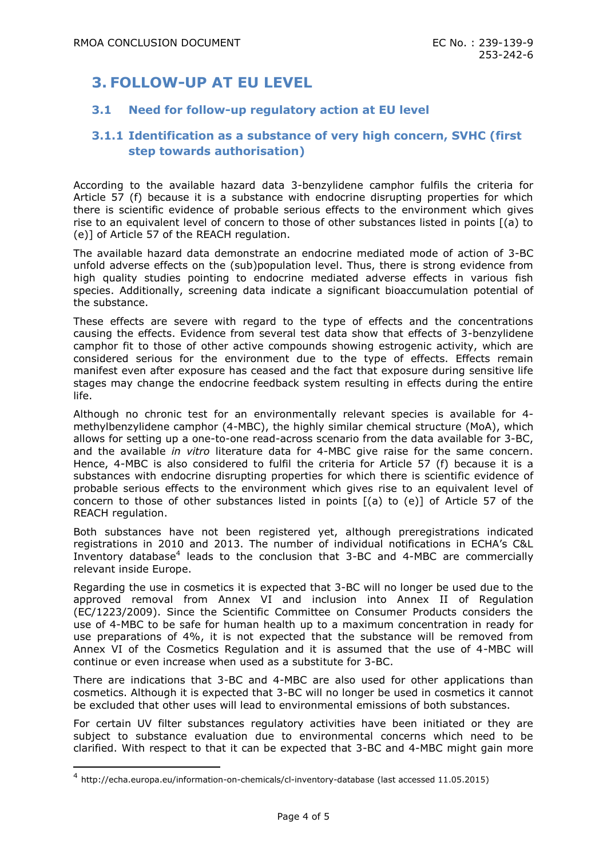## **3. FOLLOW-UP AT EU LEVEL**

#### **3.1 Need for follow-up regulatory action at EU level**

#### **3.1.1 Identification as a substance of very high concern, SVHC (first step towards authorisation)**

According to the available hazard data 3-benzylidene camphor fulfils the criteria for Article 57 (f) because it is a substance with endocrine disrupting properties for which there is scientific evidence of probable serious effects to the environment which gives rise to an equivalent level of concern to those of other substances listed in points [(a) to (e)] of Article 57 of the REACH regulation.

The available hazard data demonstrate an endocrine mediated mode of action of 3-BC unfold adverse effects on the (sub)population level. Thus, there is strong evidence from high quality studies pointing to endocrine mediated adverse effects in various fish species. Additionally, screening data indicate a significant bioaccumulation potential of the substance.

These effects are severe with regard to the type of effects and the concentrations causing the effects. Evidence from several test data show that effects of 3-benzylidene camphor fit to those of other active compounds showing estrogenic activity, which are considered serious for the environment due to the type of effects. Effects remain manifest even after exposure has ceased and the fact that exposure during sensitive life stages may change the endocrine feedback system resulting in effects during the entire life.

Although no chronic test for an environmentally relevant species is available for 4 methylbenzylidene camphor (4-MBC), the highly similar chemical structure (MoA), which allows for setting up a one-to-one read-across scenario from the data available for 3-BC, and the available *in vitro* literature data for 4-MBC give raise for the same concern. Hence, 4-MBC is also considered to fulfil the criteria for Article 57 (f) because it is a substances with endocrine disrupting properties for which there is scientific evidence of probable serious effects to the environment which gives rise to an equivalent level of concern to those of other substances listed in points [(a) to (e)] of Article 57 of the REACH regulation.

Both substances have not been registered yet, although preregistrations indicated registrations in 2010 and 2013. The number of individual notifications in ECHA's C&L Inventory database<sup>4</sup> leads to the conclusion that 3-BC and 4-MBC are commercially relevant inside Europe.

Regarding the use in cosmetics it is expected that 3-BC will no longer be used due to the approved removal from Annex VI and inclusion into Annex II of Regulation (EC/1223/2009). Since the Scientific Committee on Consumer Products considers the use of 4-MBC to be safe for human health up to a maximum concentration in ready for use preparations of 4%, it is not expected that the substance will be removed from Annex VI of the Cosmetics Regulation and it is assumed that the use of 4-MBC will continue or even increase when used as a substitute for 3-BC.

There are indications that 3-BC and 4-MBC are also used for other applications than cosmetics. Although it is expected that 3-BC will no longer be used in cosmetics it cannot be excluded that other uses will lead to environmental emissions of both substances.

For certain UV filter substances regulatory activities have been initiated or they are subject to substance evaluation due to environmental concerns which need to be clarified. With respect to that it can be expected that 3-BC and 4-MBC might gain more

-

<sup>4</sup> http://echa.europa.eu/information-on-chemicals/cl-inventory-database (last accessed 11.05.2015)